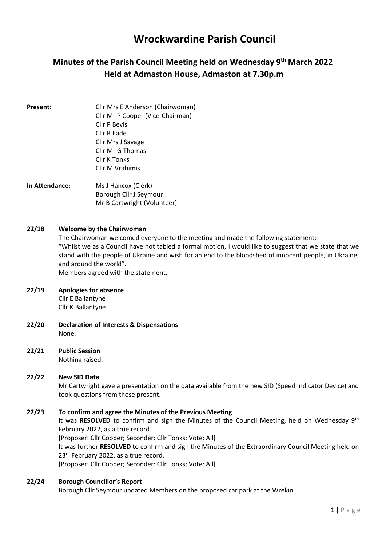# Wrockwardine Parish Council

## Minutes of the Parish Council Meeting held on Wednesday 9<sup>th</sup> March 2022 Held at Admaston House, Admaston at 7.30p.m

- **Present:** Cllr Mrs E Anderson (Chairwoman) Cllr Mr P Cooper (Vice-Chairman) Cllr P Bevis Cllr R Eade Cllr Mrs J Savage Cllr Mr G Thomas Cllr K Tonks Cllr M Vrahimis
- In Attendance: Ms J Hancox (Clerk) Borough Cllr J Seymour Mr B Cartwright (Volunteer)

#### 22/18 Welcome by the Chairwoman

The Chairwoman welcomed everyone to the meeting and made the following statement: "Whilst we as a Council have not tabled a formal motion, I would like to suggest that we state that we stand with the people of Ukraine and wish for an end to the bloodshed of innocent people, in Ukraine, and around the world".

Members agreed with the statement.

#### 22/19 Apologies for absence

Cllr E Ballantyne Cllr K Ballantyne

- 22/20 Declaration of Interests & Dispensations None.
- 22/21 Public Session Nothing raised.

### 22/22 New SID Data

Mr Cartwright gave a presentation on the data available from the new SID (Speed Indicator Device) and took questions from those present.

#### 22/23 To confirm and agree the Minutes of the Previous Meeting

It was RESOLVED to confirm and sign the Minutes of the Council Meeting, held on Wednesday  $9<sup>th</sup>$ February 2022, as a true record.

[Proposer: Cllr Cooper; Seconder: Cllr Tonks; Vote: All]

It was further RESOLVED to confirm and sign the Minutes of the Extraordinary Council Meeting held on 23<sup>rd</sup> February 2022, as a true record.

[Proposer: Cllr Cooper; Seconder: Cllr Tonks; Vote: All]

#### 22/24 Borough Councillor's Report

Borough Cllr Seymour updated Members on the proposed car park at the Wrekin.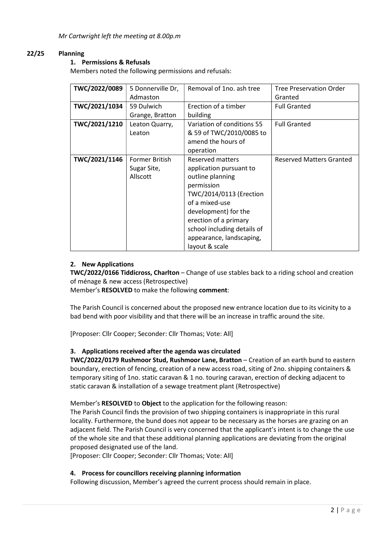Mr Cartwright left the meeting at 8.00p.m

#### 22/25 Planning

#### 1. Permissions & Refusals

Members noted the following permissions and refusals:

| TWC/2022/0089 | 5 Donnerville Dr,<br>Admaston                                                                                                                                                                                                                                                                         | Removal of 1no, ash tree                                                                  | <b>Tree Preservation Order</b><br>Granted |
|---------------|-------------------------------------------------------------------------------------------------------------------------------------------------------------------------------------------------------------------------------------------------------------------------------------------------------|-------------------------------------------------------------------------------------------|-------------------------------------------|
| TWC/2021/1034 | 59 Dulwich<br>Grange, Bratton                                                                                                                                                                                                                                                                         | Erection of a timber<br>building                                                          | <b>Full Granted</b>                       |
| TWC/2021/1210 | Leaton Quarry,<br>Leaton                                                                                                                                                                                                                                                                              | Variation of conditions 55<br>& 59 of TWC/2010/0085 to<br>amend the hours of<br>operation | <b>Full Granted</b>                       |
| TWC/2021/1146 | Former British<br>Reserved matters<br>application pursuant to<br>Sugar Site,<br>Allscott<br>outline planning<br>permission<br>TWC/2014/0113 (Erection<br>of a mixed-use<br>development) for the<br>erection of a primary<br>school including details of<br>appearance, landscaping,<br>layout & scale |                                                                                           | <b>Reserved Matters Granted</b>           |

#### 2. New Applications

TWC/2022/0166 Tiddicross, Charlton – Change of use stables back to a riding school and creation of ménage & new access (Retrospective)

Member's RESOLVED to make the following comment:

The Parish Council is concerned about the proposed new entrance location due to its vicinity to a bad bend with poor visibility and that there will be an increase in traffic around the site.

[Proposer: Cllr Cooper; Seconder: Cllr Thomas; Vote: All]

#### 3. Applications received after the agenda was circulated

TWC/2022/0179 Rushmoor Stud, Rushmoor Lane, Bratton – Creation of an earth bund to eastern boundary, erection of fencing, creation of a new access road, siting of 2no. shipping containers & temporary siting of 1no. static caravan & 1 no. touring caravan, erection of decking adjacent to static caravan & installation of a sewage treatment plant (Retrospective)

Member's RESOLVED to Object to the application for the following reason:

The Parish Council finds the provision of two shipping containers is inappropriate in this rural locality. Furthermore, the bund does not appear to be necessary as the horses are grazing on an adjacent field. The Parish Council is very concerned that the applicant's intent is to change the use of the whole site and that these additional planning applications are deviating from the original proposed designated use of the land.

[Proposer: Cllr Cooper; Seconder: Cllr Thomas; Vote: All]

#### 4. Process for councillors receiving planning information

Following discussion, Member's agreed the current process should remain in place.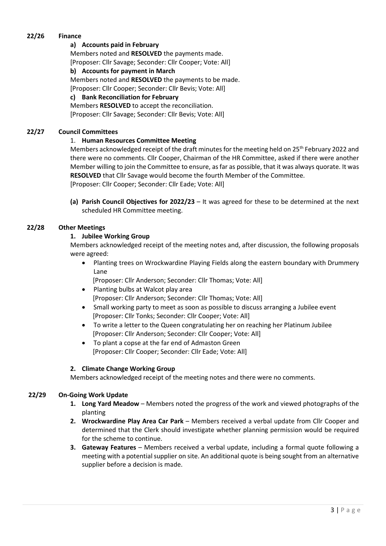#### 22/26 Finance

#### a) Accounts paid in February

Members noted and RESOLVED the payments made. [Proposer: Cllr Savage; Seconder: Cllr Cooper; Vote: All]

#### b) Accounts for payment in March

Members noted and RESOLVED the payments to be made.

[Proposer: Cllr Cooper; Seconder: Cllr Bevis; Vote: All]

#### c) Bank Reconciliation for February

Members RESOLVED to accept the reconciliation. [Proposer: Cllr Savage; Seconder: Cllr Bevis; Vote: All]

#### 22/27 Council Committees

#### 1. Human Resources Committee Meeting

Members acknowledged receipt of the draft minutes for the meeting held on 25<sup>th</sup> February 2022 and there were no comments. Cllr Cooper, Chairman of the HR Committee, asked if there were another Member willing to join the Committee to ensure, as far as possible, that it was always quorate. It was RESOLVED that Cllr Savage would become the fourth Member of the Committee. [Proposer: Cllr Cooper; Seconder: Cllr Eade; Vote: All]

(a) Parish Council Objectives for 2022/23 – It was agreed for these to be determined at the next scheduled HR Committee meeting.

#### 22/28 Other Meetings

#### 1. Jubilee Working Group

Members acknowledged receipt of the meeting notes and, after discussion, the following proposals were agreed:

 Planting trees on Wrockwardine Playing Fields along the eastern boundary with Drummery Lane

[Proposer: Cllr Anderson; Seconder: Cllr Thomas; Vote: All]

- Planting bulbs at Walcot play area [Proposer: Cllr Anderson; Seconder: Cllr Thomas; Vote: All]
- Small working party to meet as soon as possible to discuss arranging a Jubilee event [Proposer: Cllr Tonks; Seconder: Cllr Cooper; Vote: All]
- To write a letter to the Queen congratulating her on reaching her Platinum Jubilee [Proposer: Cllr Anderson; Seconder: Cllr Cooper; Vote: All]
- To plant a copse at the far end of Admaston Green [Proposer: Cllr Cooper; Seconder: Cllr Eade; Vote: All]

#### 2. Climate Change Working Group

Members acknowledged receipt of the meeting notes and there were no comments.

#### 22/29 On-Going Work Update

- 1. Long Yard Meadow Members noted the progress of the work and viewed photographs of the planting
- 2. Wrockwardine Play Area Car Park Members received a verbal update from Cllr Cooper and determined that the Clerk should investigate whether planning permission would be required for the scheme to continue.
- 3. Gateway Features Members received a verbal update, including a formal quote following a meeting with a potential supplier on site. An additional quote is being sought from an alternative supplier before a decision is made.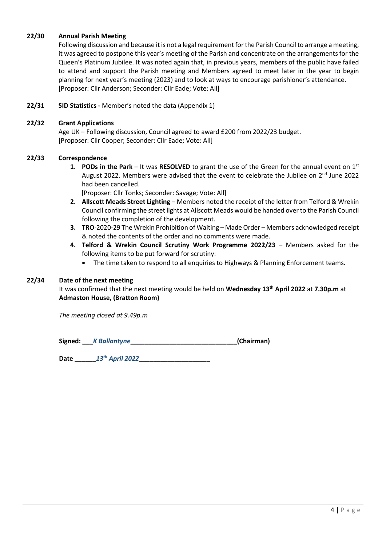#### 22/30 Annual Parish Meeting

Following discussion and because it is not a legal requirement for the Parish Council to arrange a meeting, it was agreed to postpone this year's meeting of the Parish and concentrate on the arrangements for the Queen's Platinum Jubilee. It was noted again that, in previous years, members of the public have failed to attend and support the Parish meeting and Members agreed to meet later in the year to begin planning for next year's meeting (2023) and to look at ways to encourage parishioner's attendance. [Proposer: Cllr Anderson; Seconder: Cllr Eade; Vote: All]

#### 22/31 SID Statistics - Member's noted the data (Appendix 1)

#### 22/32 Grant Applications

Age UK – Following discussion, Council agreed to award £200 from 2022/23 budget. [Proposer: Cllr Cooper; Seconder: Cllr Eade; Vote: All]

#### 22/33 Correspondence

- 1. PODs in the Park It was RESOLVED to grant the use of the Green for the annual event on  $1^{st}$ August 2022. Members were advised that the event to celebrate the Jubilee on  $2^{nd}$  June 2022 had been cancelled.
	- [Proposer: Cllr Tonks; Seconder: Savage; Vote: All]
- 2. Allscott Meads Street Lighting Members noted the receipt of the letter from Telford & Wrekin Council confirming the street lights at Allscott Meads would be handed over to the Parish Council following the completion of the development.
- 3. TRO-2020-29 The Wrekin Prohibition of Waiting Made Order Members acknowledged receipt & noted the contents of the order and no comments were made.
- 4. Telford & Wrekin Council Scrutiny Work Programme 2022/23 Members asked for the following items to be put forward for scrutiny:
	- The time taken to respond to all enquiries to Highways & Planning Enforcement teams.

#### 22/34 Date of the next meeting

It was confirmed that the next meeting would be held on Wednesday 13<sup>th</sup> April 2022 at 7.30p.m at Admaston House, (Bratton Room)

The meeting closed at 9.49p.m

Signed: K Ballantyne \_\_\_\_\_\_\_\_\_\_\_\_\_\_\_\_\_\_\_\_\_\_\_\_\_\_\_\_\_\_\_\_\_(Chairman)

Date \_\_\_\_\_\_13th April 2022\_\_\_\_\_\_\_\_\_\_\_\_\_\_\_\_\_\_\_\_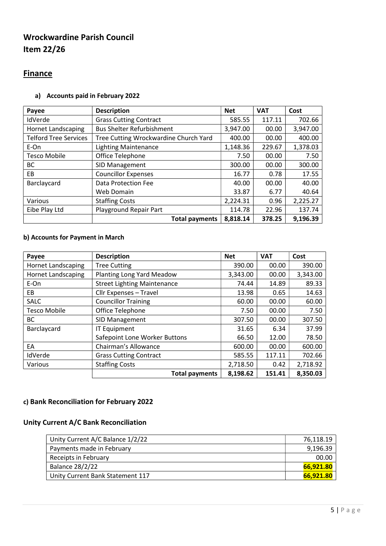# Wrockwardine Parish Council Item 22/26

### **Finance**

#### a) Accounts paid in February 2022

| Payee                        | <b>Description</b>                    | <b>Net</b> | <b>VAT</b> | Cost     |
|------------------------------|---------------------------------------|------------|------------|----------|
| IdVerde                      | <b>Grass Cutting Contract</b>         | 585.55     | 117.11     | 702.66   |
| <b>Hornet Landscaping</b>    | <b>Bus Shelter Refurbishment</b>      | 3,947.00   | 00.00      | 3,947.00 |
| <b>Telford Tree Services</b> | Tree Cutting Wrockwardine Church Yard | 400.00     | 00.00      | 400.00   |
| E-On                         | <b>Lighting Maintenance</b>           | 1,148.36   | 229.67     | 1,378.03 |
| <b>Tesco Mobile</b>          | Office Telephone                      | 7.50       | 00.00      | 7.50     |
| ВC                           | SID Management                        | 300.00     | 00.00      | 300.00   |
| EB                           | <b>Councillor Expenses</b>            | 16.77      | 0.78       | 17.55    |
| Barclaycard                  | Data Protection Fee                   | 40.00      | 00.00      | 40.00    |
|                              | Web Domain                            | 33.87      | 6.77       | 40.64    |
| Various                      | <b>Staffing Costs</b>                 | 2,224.31   | 0.96       | 2,225.27 |
| Eibe Play Ltd                | Playground Repair Part                | 114.78     | 22.96      | 137.74   |
|                              | <b>Total payments</b>                 | 8,818.14   | 378.25     | 9,196.39 |

#### b) Accounts for Payment in March

| Payee                     | <b>Description</b>                 | <b>Net</b>    | <b>VAT</b> | Cost     |  |  |
|---------------------------|------------------------------------|---------------|------------|----------|--|--|
| <b>Hornet Landscaping</b> | <b>Tree Cutting</b>                | 390.00        | 00.00      | 390.00   |  |  |
| <b>Hornet Landscaping</b> | Planting Long Yard Meadow          | 3,343.00      | 00.00      | 3,343.00 |  |  |
| E-On                      | <b>Street Lighting Maintenance</b> | 74.44         | 14.89      | 89.33    |  |  |
| EB                        | Cllr Expenses - Travel             | 13.98<br>0.65 |            |          |  |  |
| <b>SALC</b>               | <b>Councillor Training</b>         | 00.00         | 60.00      |          |  |  |
| <b>Tesco Mobile</b>       | Office Telephone                   | 7.50          | 00.00      | 7.50     |  |  |
| BC                        | SID Management                     | 307.50        | 00.00      | 307.50   |  |  |
| Barclaycard               | <b>IT Equipment</b>                | 31.65         | 6.34       | 37.99    |  |  |
|                           | Safepoint Lone Worker Buttons      | 66.50         | 12.00      | 78.50    |  |  |
| EA                        | Chairman's Allowance               | 600.00        | 00.00      | 600.00   |  |  |
| IdVerde                   | <b>Grass Cutting Contract</b>      | 585.55        | 117.11     | 702.66   |  |  |
| Various                   | <b>Staffing Costs</b>              | 2,718.50      | 0.42       | 2,718.92 |  |  |
|                           | <b>Total payments</b>              | 8,198.62      | 151.41     | 8,350.03 |  |  |

### c) Bank Reconciliation for February 2022

### Unity Current A/C Bank Reconciliation

| Unity Current A/C Balance 1/2/22 | 76.118.19 |
|----------------------------------|-----------|
| Payments made in February        | 9,196.39  |
| Receipts in February             | 00.00     |
| Balance 28/2/22                  | 66.921.80 |
| Unity Current Bank Statement 117 | 66.921.80 |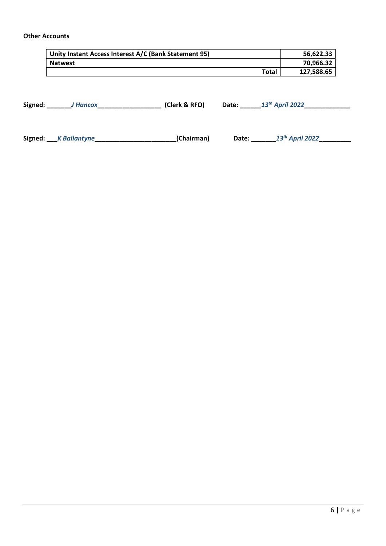#### Other Accounts

| Unity Instant Access Interest A/C (Bank Statement 95) | 56.622.33  |
|-------------------------------------------------------|------------|
| <b>Natwest</b>                                        | 70,966.32  |
| Total                                                 | 127,588.65 |

Signed: \_\_\_\_\_\_\_\_J Hancox\_\_\_\_\_\_\_\_\_\_\_\_\_\_\_\_\_\_\_\_\_\_\_\_(Clerk & RFO) Date: \_\_\_\_\_\_\_13<sup>th</sup> April 2022\_\_\_\_\_\_\_\_\_\_\_\_\_\_\_\_\_\_\_\_

Signed: K Ballantyne \_\_\_\_\_\_\_\_\_\_\_\_\_\_\_\_\_\_\_\_\_\_\_\_\_\_\_\_\_(Chairman) Date: \_\_\_\_\_\_\_\_13<sup>th</sup> April 2022\_\_\_\_\_\_\_\_\_\_\_\_\_\_\_\_\_\_\_\_\_\_\_\_\_